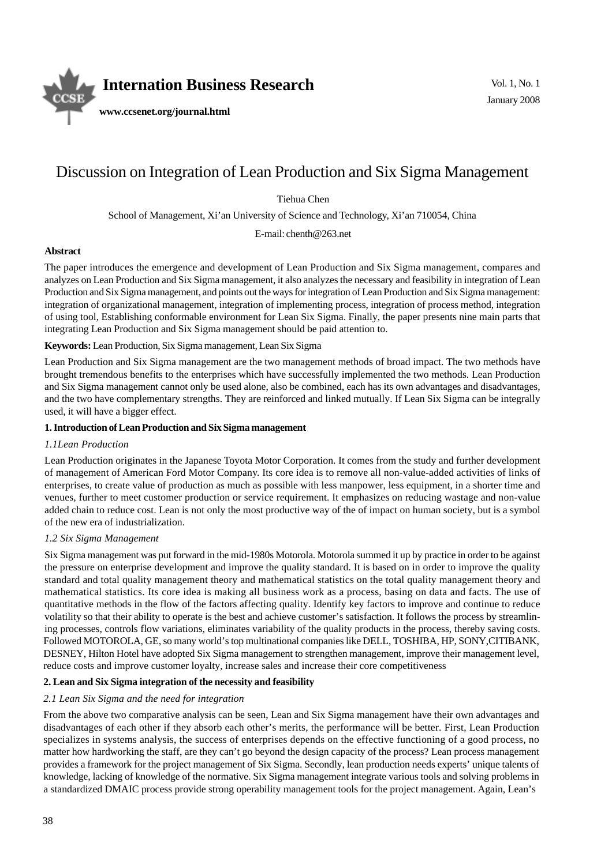

# Discussion on Integration of Lean Production and Six Sigma Management

Tiehua Chen

 Vol. 1, No. 1 January 2008

School of Management, Xi'an University of Science and Technology, Xi'an 710054, China

E-mail: chenth@263.net

# **Abstract**

The paper introduces the emergence and development of Lean Production and Six Sigma management, compares and analyzes on Lean Production and Six Sigma management, it also analyzes the necessary and feasibility in integration of Lean Production and Six Sigma management, and points out the ways for integration of Lean Production and Six Sigma management: integration of organizational management, integration of implementing process, integration of process method, integration of using tool, Establishing conformable environment for Lean Six Sigma. Finally, the paper presents nine main parts that integrating Lean Production and Six Sigma management should be paid attention to.

**Keywords:** Lean Production, Six Sigma management, Lean Six Sigma

Lean Production and Six Sigma management are the two management methods of broad impact. The two methods have brought tremendous benefits to the enterprises which have successfully implemented the two methods. Lean Production and Six Sigma management cannot only be used alone, also be combined, each has its own advantages and disadvantages, and the two have complementary strengths. They are reinforced and linked mutually. If Lean Six Sigma can be integrally used, it will have a bigger effect.

## **1. Introduction of Lean Production and Six Sigma management**

# *1.1Lean Production*

Lean Production originates in the Japanese Toyota Motor Corporation. It comes from the study and further development of management of American Ford Motor Company. Its core idea is to remove all non-value-added activities of links of enterprises, to create value of production as much as possible with less manpower, less equipment, in a shorter time and venues, further to meet customer production or service requirement. It emphasizes on reducing wastage and non-value added chain to reduce cost. Lean is not only the most productive way of the of impact on human society, but is a symbol of the new era of industrialization.

# *1.2 Six Sigma Management*

Six Sigma management was put forward in the mid-1980s Motorola. Motorola summed it up by practice in order to be against the pressure on enterprise development and improve the quality standard. It is based on in order to improve the quality standard and total quality management theory and mathematical statistics on the total quality management theory and mathematical statistics. Its core idea is making all business work as a process, basing on data and facts. The use of quantitative methods in the flow of the factors affecting quality. Identify key factors to improve and continue to reduce volatility so that their ability to operate is the best and achieve customer's satisfaction. It follows the process by streamlining processes, controls flow variations, eliminates variability of the quality products in the process, thereby saving costs. Followed MOTOROLA, GE, so many world's top multinational companies like DELL, TOSHIBA, HP, SONY,CITIBANK, DESNEY, Hilton Hotel have adopted Six Sigma management to strengthen management, improve their management level, reduce costs and improve customer loyalty, increase sales and increase their core competitiveness

# **2. Lean and Six Sigma integration of the necessity and feasibility**

## *2.1 Lean Six Sigma and the need for integration*

From the above two comparative analysis can be seen, Lean and Six Sigma management have their own advantages and disadvantages of each other if they absorb each other's merits, the performance will be better. First, Lean Production specializes in systems analysis, the success of enterprises depends on the effective functioning of a good process, no matter how hardworking the staff, are they can't go beyond the design capacity of the process? Lean process management provides a framework for the project management of Six Sigma. Secondly, lean production needs experts' unique talents of knowledge, lacking of knowledge of the normative. Six Sigma management integrate various tools and solving problems in a standardized DMAIC process provide strong operability management tools for the project management. Again, Lean's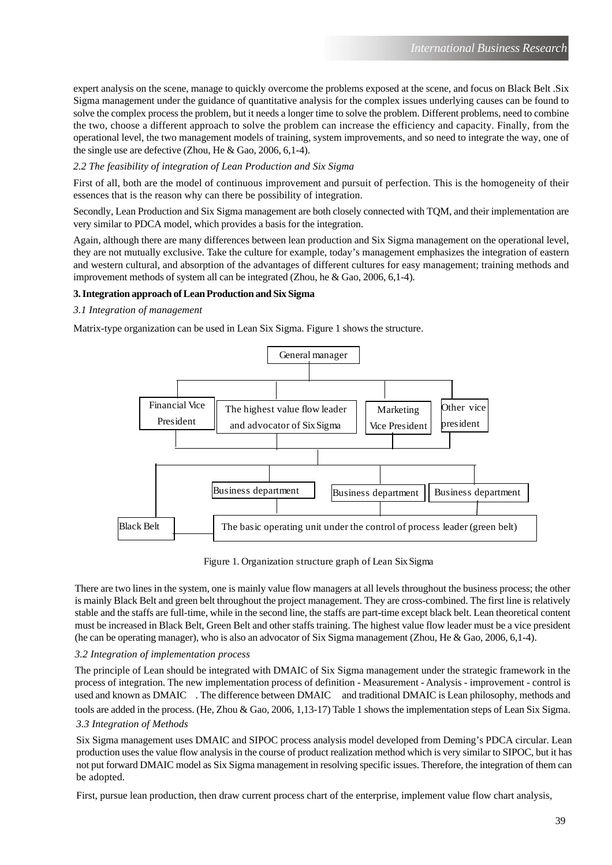expert analysis on the scene, manage to quickly overcome the problems exposed at the scene, and focus on Black Belt .Six Sigma management under the guidance of quantitative analysis for the complex issues underlying causes can be found to solve the complex process the problem, but it needs a longer time to solve the problem. Different problems, need to combine the two, choose a different approach to solve the problem can increase the efficiency and capacity. Finally, from the operational level, the two management models of training, system improvements, and so need to integrate the way, one of the single use are defective (Zhou, He & Gao, 2006, 6,1-4).

# *2.2 The feasibility of integration of Lean Production and Six Sigma*

First of all, both are the model of continuous improvement and pursuit of perfection. This is the homogeneity of their essences that is the reason why can there be possibility of integration.

Secondly, Lean Production and Six Sigma management are both closely connected with TQM, and their implementation are very similar to PDCA model, which provides a basis for the integration.

Again, although there are many differences between lean production and Six Sigma management on the operational level, they are not mutually exclusive. Take the culture for example, today's management emphasizes the integration of eastern and western cultural, and absorption of the advantages of different cultures for easy management; training methods and improvement methods of system all can be integrated (Zhou, he & Gao, 2006, 6,1-4).

# **3. Integration approach of Lean Production and Six Sigma**

# *3.1 Integration of management*

Matrix-type organization can be used in Lean Six Sigma. Figure 1 shows the structure.



Figure 1. Organization structure graph of Lean Six Sigma

There are two lines in the system, one is mainly value flow managers at all levels throughout the business process; the other is mainly Black Belt and green belt throughout the project management. They are cross-combined. The first line is relatively stable and the staffs are full-time, while in the second line, the staffs are part-time except black belt. Lean theoretical content must be increased in Black Belt, Green Belt and other staffs training. The highest value flow leader must be a vice president (he can be operating manager), who is also an advocator of Six Sigma management (Zhou, He & Gao, 2006, 6,1-4).

# *3.2 Integration of implementation process*

The principle of Lean should be integrated with DMAIC of Six Sigma management under the strategic framework in the process of integration. The new implementation process of definition - Measurement - Analysis - improvement - control is used and known as DMAIC . The difference between DMAIC and traditional DMAIC is Lean philosophy, methods and tools are added in the process. (He, Zhou & Gao, 2006, 1,13-17) Table 1 shows the implementation steps of Lean Six Sigma. *3.3 Integration of Methods*

Six Sigma management uses DMAIC and SIPOC process analysis model developed from Deming's PDCA circular. Lean production uses the value flow analysis in the course of product realization method which is very similar to SIPOC, but it has not put forward DMAIC model as Six Sigma management in resolving specific issues. Therefore, the integration of them can be adopted.

First, pursue lean production, then draw current process chart of the enterprise, implement value flow chart analysis,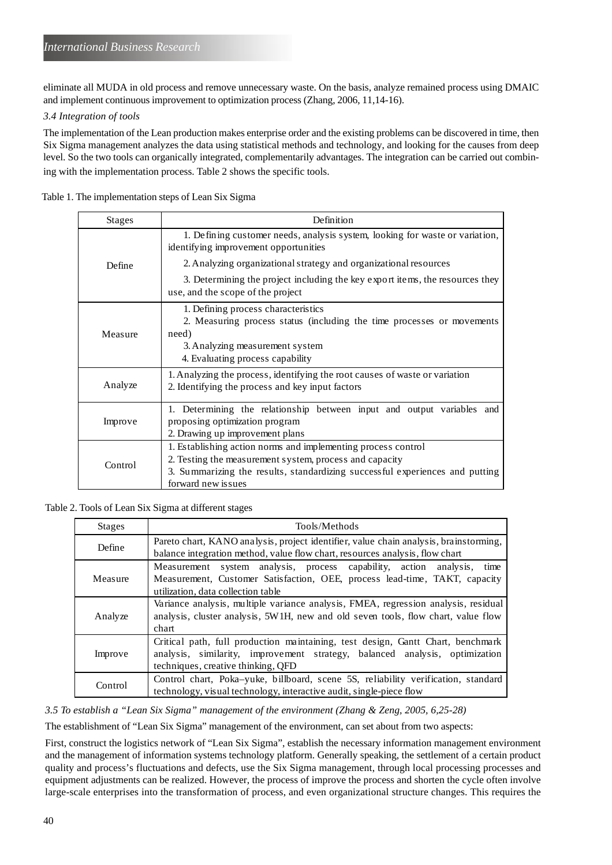eliminate all MUDA in old process and remove unnecessary waste. On the basis, analyze remained process using DMAIC and implement continuous improvement to optimization process (Zhang, 2006, 11,14-16).

## *3.4 Integration of tools*

The implementation of the Lean production makes enterprise order and the existing problems can be discovered in time, then Six Sigma management analyzes the data using statistical methods and technology, and looking for the causes from deep level. So the two tools can organically integrated, complementarily advantages. The integration can be carried out combining with the implementation process. Table 2 shows the specific tools.

Table 1. The implementation steps of Lean Six Sigma

| <b>Stages</b> | Definition                                                                                                                                                                                                                      |
|---------------|---------------------------------------------------------------------------------------------------------------------------------------------------------------------------------------------------------------------------------|
| Define        | 1. Defining customer needs, analysis system, looking for waste or variation,<br>identifying improvement opportunities                                                                                                           |
|               | 2. Analyzing organizational strategy and organizational resources                                                                                                                                                               |
|               | 3. Determining the project including the key export items, the resources they<br>use, and the scope of the project                                                                                                              |
| Measure       | 1. Defining process characteristics<br>2. Measuring process status (including the time processes or movements<br>need)<br>3. Analyzing measurement system<br>4. Evaluating process capability                                   |
| Analyze       | 1. Analyzing the process, identifying the root causes of waste or variation<br>2. Identifying the process and key input factors                                                                                                 |
| Improve       | 1. Determining the relationship between input and output variables and<br>proposing optimization program<br>2. Drawing up improvement plans                                                                                     |
| Control       | 1. Establishing action norms and implementing process control<br>2. Testing the measurement system, process and capacity<br>3. Summarizing the results, standardizing successful experiences and putting<br>forward new is sues |

Table 2. Tools of Lean Six Sigma at different stages

| <b>Stages</b> | Tools/Methods                                                                         |
|---------------|---------------------------------------------------------------------------------------|
| Define        | Pareto chart, KANO analysis, project identifier, value chain analysis, brainstorming, |
|               | balance integration method, value flow chart, resources analysis, flow chart          |
| Measure       | Measurement system analysis, process capability, action analysis,<br>time             |
|               | Measurement, Customer Satisfaction, OEE, process lead-time, TAKT, capacity            |
|               | utilization, data collection table                                                    |
| Analyze       | Variance analysis, multiple variance analysis, FMEA, regression analysis, residual    |
|               | analysis, cluster analysis, 5W1H, new and old seven tools, flow chart, value flow     |
|               | chart                                                                                 |
| Improve       | Critical path, full production maintaining, test design, Gantt Chart, benchmark       |
|               | analysis, similarity, improvement strategy, balanced analysis, optimization           |
|               | techniques, creative thinking, QFD                                                    |
| Control       | Control chart, Poka-yuke, billboard, scene 5S, reliability verification, standard     |
|               | technology, visual technology, interactive audit, single-piece flow                   |

*3.5 To establish a "Lean Six Sigma" management of the environment (Zhang & Zeng, 2005, 6,25-28)*

The establishment of "Lean Six Sigma" management of the environment, can set about from two aspects:

First, construct the logistics network of "Lean Six Sigma", establish the necessary information management environment and the management of information systems technology platform. Generally speaking, the settlement of a certain product quality and process's fluctuations and defects, use the Six Sigma management, through local processing processes and equipment adjustments can be realized. However, the process of improve the process and shorten the cycle often involve large-scale enterprises into the transformation of process, and even organizational structure changes. This requires the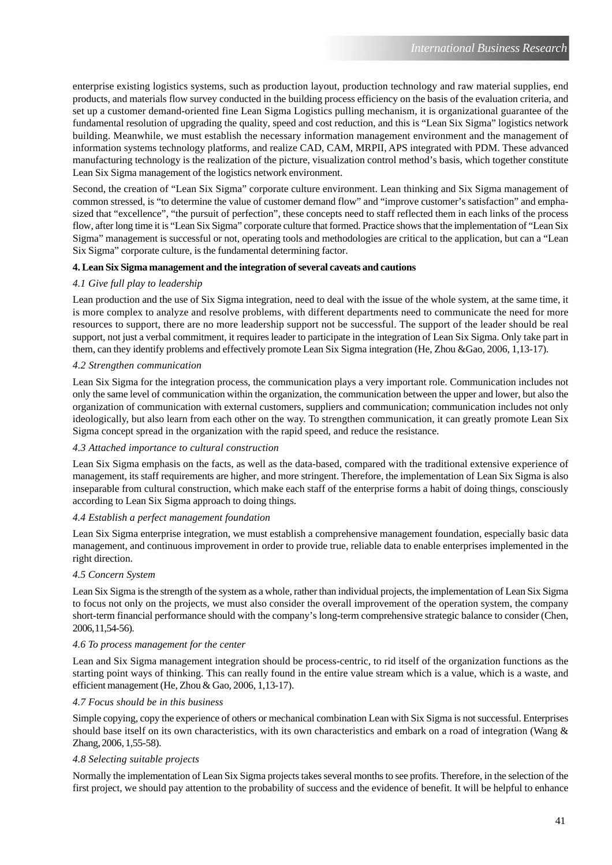enterprise existing logistics systems, such as production layout, production technology and raw material supplies, end products, and materials flow survey conducted in the building process efficiency on the basis of the evaluation criteria, and set up a customer demand-oriented fine Lean Sigma Logistics pulling mechanism, it is organizational guarantee of the fundamental resolution of upgrading the quality, speed and cost reduction, and this is "Lean Six Sigma" logistics network building. Meanwhile, we must establish the necessary information management environment and the management of information systems technology platforms, and realize CAD, CAM, MRPII, APS integrated with PDM. These advanced manufacturing technology is the realization of the picture, visualization control method's basis, which together constitute Lean Six Sigma management of the logistics network environment.

Second, the creation of "Lean Six Sigma" corporate culture environment. Lean thinking and Six Sigma management of common stressed, is "to determine the value of customer demand flow" and "improve customer's satisfaction" and emphasized that "excellence", "the pursuit of perfection", these concepts need to staff reflected them in each links of the process flow, after long time it is "Lean Six Sigma" corporate culture that formed. Practice shows that the implementation of "Lean Six Sigma" management is successful or not, operating tools and methodologies are critical to the application, but can a "Lean Six Sigma" corporate culture, is the fundamental determining factor.

# **4. Lean Six Sigma management and the integration of several caveats and cautions**

## *4.1 Give full play to leadership*

Lean production and the use of Six Sigma integration, need to deal with the issue of the whole system, at the same time, it is more complex to analyze and resolve problems, with different departments need to communicate the need for more resources to support, there are no more leadership support not be successful. The support of the leader should be real support, not just a verbal commitment, it requires leader to participate in the integration of Lean Six Sigma. Only take part in them, can they identify problems and effectively promote Lean Six Sigma integration (He, Zhou &Gao, 2006, 1,13-17).

## *4.2 Strengthen communication*

Lean Six Sigma for the integration process, the communication plays a very important role. Communication includes not only the same level of communication within the organization, the communication between the upper and lower, but also the organization of communication with external customers, suppliers and communication; communication includes not only ideologically, but also learn from each other on the way. To strengthen communication, it can greatly promote Lean Six Sigma concept spread in the organization with the rapid speed, and reduce the resistance.

## *4.3 Attached importance to cultural construction*

Lean Six Sigma emphasis on the facts, as well as the data-based, compared with the traditional extensive experience of management, its staff requirements are higher, and more stringent. Therefore, the implementation of Lean Six Sigma is also inseparable from cultural construction, which make each staff of the enterprise forms a habit of doing things, consciously according to Lean Six Sigma approach to doing things.

## *4.4 Establish a perfect management foundation*

Lean Six Sigma enterprise integration, we must establish a comprehensive management foundation, especially basic data management, and continuous improvement in order to provide true, reliable data to enable enterprises implemented in the right direction.

## *4.5 Concern System*

Lean Six Sigma is the strength of the system as a whole, rather than individual projects, the implementation of Lean Six Sigma to focus not only on the projects, we must also consider the overall improvement of the operation system, the company short-term financial performance should with the company's long-term comprehensive strategic balance to consider (Chen, 2006, 11,54-56).

## *4.6 To process management for the center*

Lean and Six Sigma management integration should be process-centric, to rid itself of the organization functions as the starting point ways of thinking. This can really found in the entire value stream which is a value, which is a waste, and efficient management (He, Zhou & Gao, 2006, 1,13-17).

## *4.7 Focus should be in this business*

Simple copying, copy the experience of others or mechanical combination Lean with Six Sigma is not successful. Enterprises should base itself on its own characteristics, with its own characteristics and embark on a road of integration (Wang  $\&$ Zhang, 2006, 1,55-58).

## *4.8 Selecting suitable projects*

Normally the implementation of Lean Six Sigma projects takes several months to see profits. Therefore, in the selection of the first project, we should pay attention to the probability of success and the evidence of benefit. It will be helpful to enhance